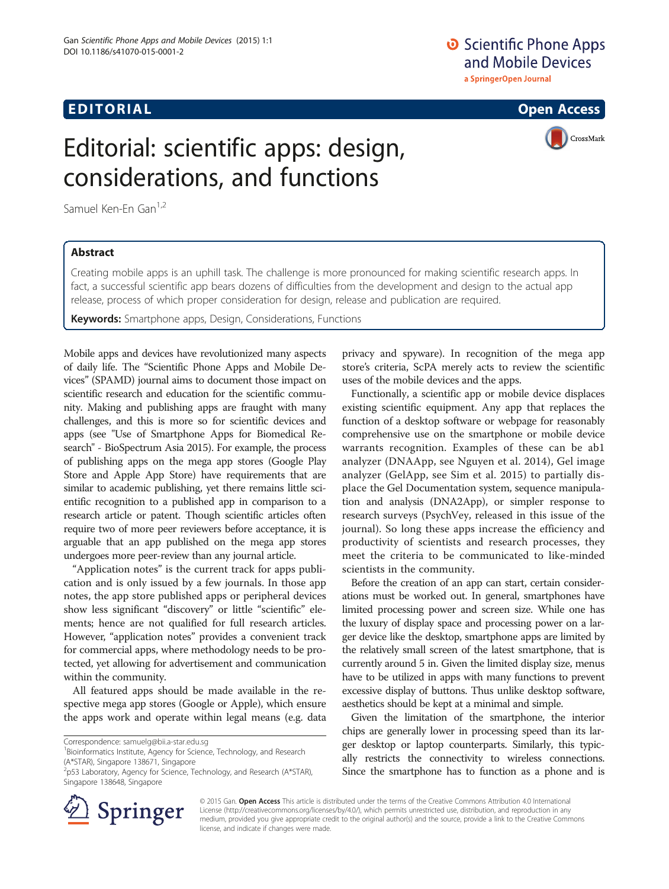## **EDITORIAL** CONTROL CONTROL CONTROL CONTROL CONTROL CONTROL CONTROL CONTROL CONTROL CONTROL CONTROL CONTROL CONTROL CONTROL CONTROL CONTROL CONTROL CONTROL CONTROL CONTROL CONTROL CONTROL CONTROL CONTROL CONTROL CONTROL CO

# O Scientific Phone Apps and Mobile Devices

a SpringerOpen Journal

CrossMark

# Editorial: scientific apps: design, considerations, and functions

Samuel Ken-En Gan<sup>1,2</sup>

#### Abstract

Creating mobile apps is an uphill task. The challenge is more pronounced for making scientific research apps. In fact, a successful scientific app bears dozens of difficulties from the development and design to the actual app release, process of which proper consideration for design, release and publication are required.

Keywords: Smartphone apps, Design, Considerations, Functions

Mobile apps and devices have revolutionized many aspects of daily life. The "Scientific Phone Apps and Mobile Devices" (SPAMD) journal aims to document those impact on scientific research and education for the scientific community. Making and publishing apps are fraught with many challenges, and this is more so for scientific devices and apps (see "Use of Smartphone Apps for Biomedical Research" - BioSpectrum Asia [2015](#page-1-0)). For example, the process of publishing apps on the mega app stores (Google Play Store and Apple App Store) have requirements that are similar to academic publishing, yet there remains little scientific recognition to a published app in comparison to a research article or patent. Though scientific articles often require two of more peer reviewers before acceptance, it is arguable that an app published on the mega app stores undergoes more peer-review than any journal article.

"Application notes" is the current track for apps publication and is only issued by a few journals. In those app notes, the app store published apps or peripheral devices show less significant "discovery" or little "scientific" elements; hence are not qualified for full research articles. However, "application notes" provides a convenient track for commercial apps, where methodology needs to be protected, yet allowing for advertisement and communication within the community.

All featured apps should be made available in the respective mega app stores (Google or Apple), which ensure the apps work and operate within legal means (e.g. data

<sup>1</sup> Bioinformatics Institute, Agency for Science, Technology, and Research (A\*STAR), Singapore 138671, Singapore



Functionally, a scientific app or mobile device displaces existing scientific equipment. Any app that replaces the function of a desktop software or webpage for reasonably comprehensive use on the smartphone or mobile device warrants recognition. Examples of these can be ab1 analyzer (DNAApp, see Nguyen et al. [2014](#page-1-0)), Gel image analyzer (GelApp, see Sim et al. [2015\)](#page-1-0) to partially displace the Gel Documentation system, sequence manipulation and analysis (DNA2App), or simpler response to research surveys (PsychVey, released in this issue of the journal). So long these apps increase the efficiency and productivity of scientists and research processes, they meet the criteria to be communicated to like-minded scientists in the community.

Before the creation of an app can start, certain considerations must be worked out. In general, smartphones have limited processing power and screen size. While one has the luxury of display space and processing power on a larger device like the desktop, smartphone apps are limited by the relatively small screen of the latest smartphone, that is currently around 5 in. Given the limited display size, menus have to be utilized in apps with many functions to prevent excessive display of buttons. Thus unlike desktop software, aesthetics should be kept at a minimal and simple.

Given the limitation of the smartphone, the interior chips are generally lower in processing speed than its larger desktop or laptop counterparts. Similarly, this typically restricts the connectivity to wireless connections. Since the smartphone has to function as a phone and is



© 2015 Gan. Open Access This article is distributed under the terms of the Creative Commons Attribution 4.0 International License [\(http://creativecommons.org/licenses/by/4.0/](http://creativecommons.org/licenses/by/4.0/)), which permits unrestricted use, distribution, and reproduction in any medium, provided you give appropriate credit to the original author(s) and the source, provide a link to the Creative Commons license, and indicate if changes were made.

Correspondence: [samuelg@bii.a-star.edu.sg](mailto:samuelg@bii.a-star.edu.sg) <sup>1</sup>

<sup>2</sup> p53 Laboratory, Agency for Science, Technology, and Research (A\*STAR), Singapore 138648, Singapore